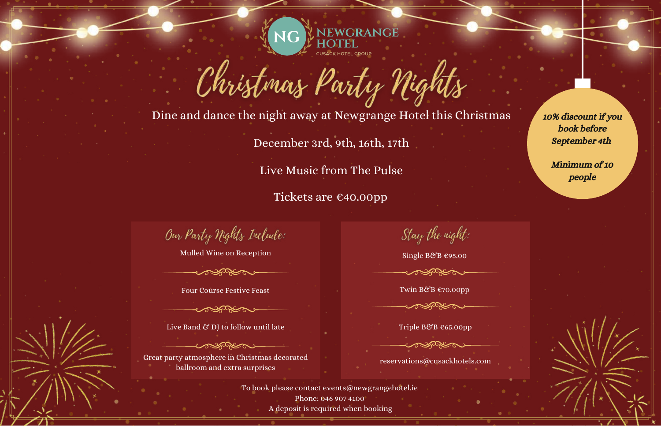

Dine and dance the night away at Newgrange Hotel this Christmas

Christmas Party Nights

December 3rd, 9th, 16th, 17th

Live Music from The Pulse

Tickets are €40.00pp

10% discount if you book before September 4th

Minimum of 10 people

Our Party Nights Include:

Mulled Wine on Reception

Four Course Festive Feast

Live Band & DJ to follow until late

 $\sim$   $\sim$   $\sim$   $\sim$   $\sim$   $\sim$ Great party atmosphere in Christmas decorated ballroom and extra surprises

Stay the night:

Single B&B €95.00

**RARCTER** 

Twin B&B €70.00pp **SARROW** 

Triple B&B €65.00pp

reservations@cusackhotels.com

To book please contact events@newgrangehotel.ie Phone: 046 907 4100 A deposit is required when booking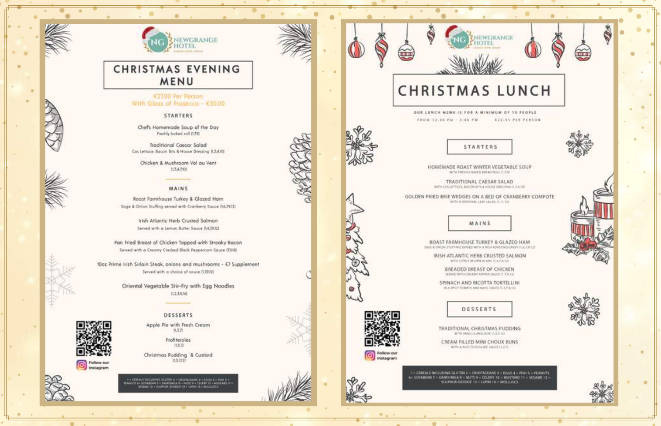



## **CHRISTMAS EVENING** MENU

### €27.00 Per Person With Glass of Prosecco - €30.00

#### **STARTERS**

Chef's Homemade Soup of the Day Freshly baked roll (1,79)

Traditional Caesar Salad Cos Lettuce, Bacon Bits & House Dressing (LS.4.10).

Chicken & Mushroom Vol au Vent 0,8,4,7300

#### MAINS

Roast Farmhouse Turkey & Glazed Ham Sage & Orion Stuffing served with Cranberry Sauce (16.79/2)

> Irish Atlantic Herb Crusted Salmon Served with a Lemon Butter Souce (142912)

Pan Fried Breast of Chicken Topped with Streaky Bocon Served with a Creamy Cracked Black Peppercorn Sauce (7936)

10oz Prime Irish Sirlain Steak, onions and mushrooms - €7 Supplement Served with a choice of souce (1,79.12)

> Oriental Vegetable Stir-Fry with Egg Noodles TL2.3.9343

## DESSERTS

Follow our

Apple Pie with Fresh Cream  $(1,3,7)$ 

> Profiteroles  $(1.8.7)$

Christmas Pudding & Custard  $(13.212)$ 

LUTIN X + ERCT **LAND # + SHILLE A + STARE #** + A DARKOWER A A NUTS V + CELERE TO A MUS





## **CHRISTMAS LUNCH**

EWGRANGE

 $1777$ 

OUR LUNCH MENU IS FOR A MINIMUM OF 10 PEOPLE FROM 12:30 PM - 3:00 PM 422:95 PER PERSON



HOMEMADE ROAST WINTER VEGETABLE SOUP WITH FREDRICKED GREAT VIRTUALS

**STARTERS** 

TRADITIONAL CAESAR SALAD WITH COS LETTUCK, BACON BITS & HOUSE DRESSING IT, J.A.100

GOLDEN FRIED BRIE WEDGES ON A BED OF CRANBERRY COMPOTE WITH A SEASONAL LEAP 1AU AD FL 7, 101

MAINS

ROAST FARMHOUSE TURKEY & GLAZED HAM UNIT & ONCN STUFFING SERVED WITH A BIGH ROUSTING GRANT CLACK LES

IRISH ATLANTIC HERB CRUSTED SALMON WITH CITRUS BELIEVE BLANC IS, A.P.R.SO-

> BREADED BREAST OF CHICKEN MANUS WITH CREAMY POWER SAUCE IS 2.8.526

SPINACH AND RICOTTA TORTELLINI IN A YEST TOMATO AND IM III, SAUCE CLUZULES

## DESSERTS

TRADITIONAL CHRISTMAS PUDDING WITH WANGLA ANGLA/REYCLESSE

CREAM FILLED MINI CHOUX BUNS WAS TOWN TRADITION AND FAILURE

5 - CENEALS INCLUDING GLUTIN 2 - CRUSTACEANS 3 - EGGS 4 - FISH S - PEANUTS 6- SOVABEAN 7 - DAIRY/MILK & - NUTS 9 - CELENY 10 - MUSTAKE 11 - SELAME 12 -<br>SULPHUR DICORDE 13 - LUPIN 14 - MOLLUSCS







Follow our<br>Instagram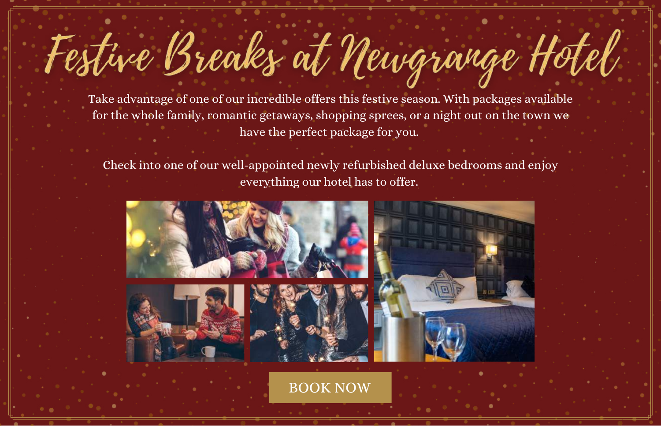# Festive Breaks at Newgrange Hotel

Take advantage of one of our incredible offers this festive season. With packages available for the whole family, romantic getaways, shopping sprees, or a night out on the town we have the perfect package for you.

Check into one of our well-appointed newly refurbished deluxe bedrooms and enjoy everything our hotel has to offer.



[BOOK](https://secure.newgrangehotel.ie/bookings/packages7) NOW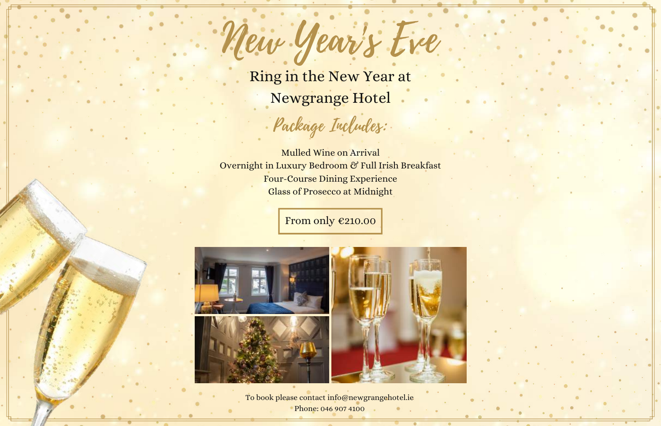Ring in the New Year at Newgrange Hotel

New Year's Eve

Package Includes:

Mulled Wine on Arrival Overnight in Luxury Bedroom & Full Irish Breakfast Four-Course Dining Experience Glass of Prosecco at Midnight

From only [€210.00](https://secure.newgrangehotel.ie/bookings/packages7)



To book please contact info@newgrangehotel.ie Phone: 046 907 4100